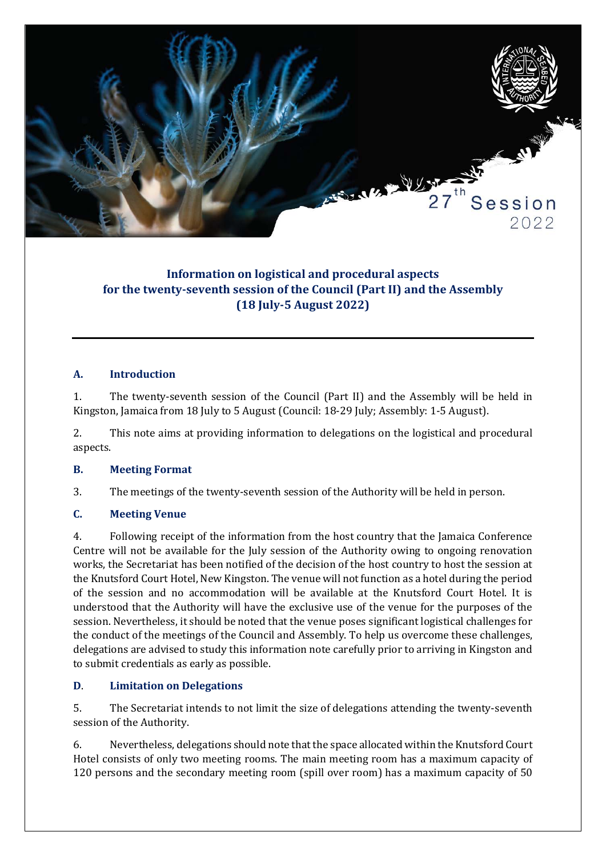

# **Information on logistical and procedural aspects for the twenty-seventh session of the Council (Part II) and the Assembly (18 July-5 August 2022)**

### **A. Introduction**

1. The twenty-seventh session of the Council (Part II) and the Assembly will be held in Kingston, Jamaica from 18 July to 5 August (Council: 18-29 July; Assembly: 1-5 August).

2. This note aims at providing information to delegations on the logistical and procedural aspects.

### **B. Meeting Format**

3. The meetings of the twenty-seventh session of the Authority will be held in person.

### **C. Meeting Venue**

4. Following receipt of the information from the host country that the Jamaica Conference Centre will not be available for the July session of the Authority owing to ongoing renovation works, the Secretariat has been notified of the decision of the host country to host the session at the Knutsford Court Hotel, New Kingston. The venue will not function as a hotel during the period of the session and no accommodation will be available at the Knutsford Court Hotel. It is understood that the Authority will have the exclusive use of the venue for the purposes of the session. Nevertheless, it should be noted that the venue poses significant logistical challenges for the conduct of the meetings of the Council and Assembly. To help us overcome these challenges, delegations are advised to study this information note carefully prior to arriving in Kingston and to submit credentials as early as possible.

### **D**. **Limitation on Delegations**

5. The Secretariat intends to not limit the size of delegations attending the twenty-seventh session of the Authority.

6. Nevertheless, delegations should note that the space allocated within the Knutsford Court Hotel consists of only two meeting rooms. The main meeting room has a maximum capacity of 120 persons and the secondary meeting room (spill over room) has a maximum capacity of 50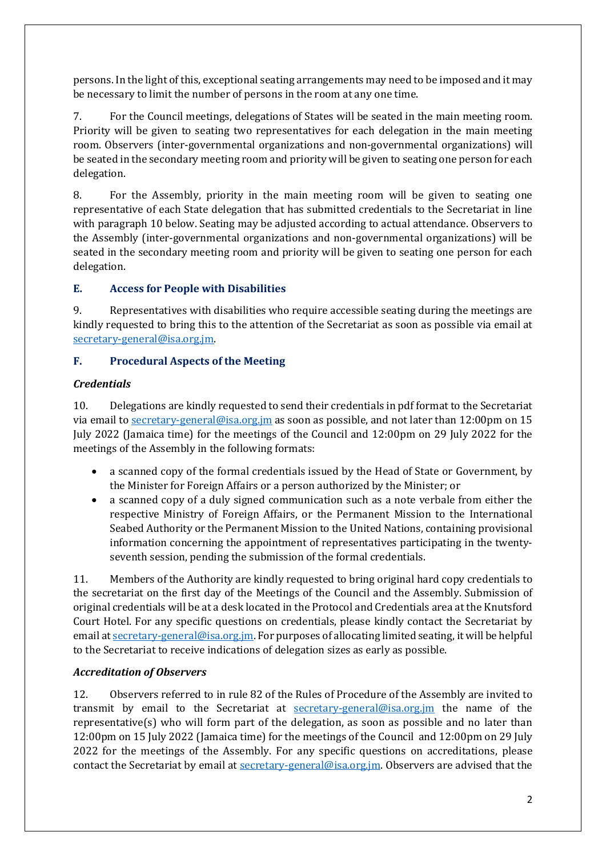persons. In the light of this, exceptional seating arrangements may need to be imposed and it may be necessary to limit the number of persons in the room at any one time.

7. For the Council meetings, delegations of States will be seated in the main meeting room. Priority will be given to seating two representatives for each delegation in the main meeting room. Observers (inter-governmental organizations and non-governmental organizations) will be seated in the secondary meeting room and priority will be given to seating one person for each delegation.

8. For the Assembly, priority in the main meeting room will be given to seating one representative of each State delegation that has submitted credentials to the Secretariat in line with paragraph 10 below. Seating may be adjusted according to actual attendance. Observers to the Assembly (inter-governmental organizations and non-governmental organizations) will be seated in the secondary meeting room and priority will be given to seating one person for each delegation.

## **E. Access for People with Disabilities**

9. Representatives with disabilities who require accessible seating during the meetings are kindly requested to bring this to the attention of the Secretariat as soon as possible via email at [secretary-general@isa.org.jm.](mailto:secretary-general@isa.org.jm)

## **F. Procedural Aspects of the Meeting**

## *Credentials*

10. Delegations are kindly requested to send their credentials in pdf format to the Secretariat via email to [secretary-general@isa.org.jm](mailto:secretary-general@isa.org.jm) as soon as possible, and not later than 12:00pm on 15 July 2022 (Jamaica time) for the meetings of the Council and 12:00pm on 29 July 2022 for the meetings of the Assembly in the following formats:

- a scanned copy of the formal credentials issued by the Head of State or Government, by the Minister for Foreign Affairs or a person authorized by the Minister; or
- a scanned copy of a duly signed communication such as a note verbale from either the respective Ministry of Foreign Affairs, or the Permanent Mission to the International Seabed Authority or the Permanent Mission to the United Nations, containing provisional information concerning the appointment of representatives participating in the twentyseventh session, pending the submission of the formal credentials.

11. Members of the Authority are kindly requested to bring original hard copy credentials to the secretariat on the first day of the Meetings of the Council and the Assembly. Submission of original credentials will be at a desk located in the Protocol and Credentials area at the Knutsford Court Hotel. For any specific questions on credentials, please kindly contact the Secretariat by email a[t secretary-general@isa.org.jm.](mailto:secretary-general@isa.org.jm) For purposes of allocating limited seating, it will be helpful to the Secretariat to receive indications of delegation sizes as early as possible.

## *Accreditation of Observers*

12. Observers referred to in rule 82 of the Rules of Procedure of the Assembly are invited to transmit by email to the Secretariat at [secretary-general@isa.org.jm](mailto:secretary-general@isa.org.jm) the name of the representative(s) who will form part of the delegation, as soon as possible and no later than 12:00pm on 15 July 2022 (Jamaica time) for the meetings of the Council and 12:00pm on 29 July 2022 for the meetings of the Assembly. For any specific questions on accreditations, please contact the Secretariat by email at [secretary-general@isa.org.jm.](mailto:secretary-general@isa.org.jm) Observers are advised that the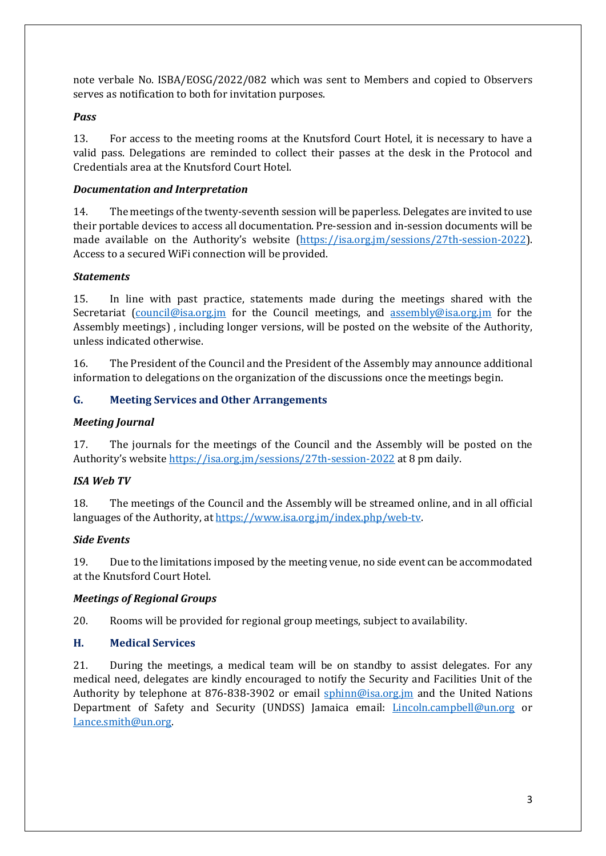note verbale No. ISBA/EOSG/2022/082 which was sent to Members and copied to Observers serves as notification to both for invitation purposes.

## *Pass*

13. For access to the meeting rooms at the Knutsford Court Hotel, it is necessary to have a valid pass. Delegations are reminded to collect their passes at the desk in the Protocol and Credentials area at the Knutsford Court Hotel.

## *Documentation and Interpretation*

14. The meetings of the twenty-seventh session will be paperless. Delegates are invited to use their portable devices to access all documentation. Pre-session and in-session documents will be made available on the Authority's website [\(https://isa.org.jm/sessions/27th-session-2022\)](https://isa.org.jm/sessions/27th-session-2022). Access to a secured WiFi connection will be provided.

## *Statements*

15. In line with past practice, statements made during the meetings shared with the Secretariat [\(council@isa.org.jm](mailto:council@isa.org.jm) for the Council meetings, and [assembly@isa.org.jm](mailto:assembly@isa.org.jm) for the Assembly meetings) , including longer versions, will be posted on the website of the Authority, unless indicated otherwise.

16. The President of the Council and the President of the Assembly may announce additional information to delegations on the organization of the discussions once the meetings begin.

## **G. Meeting Services and Other Arrangements**

## *Meeting Journal*

17. The journals for the meetings of the Council and the Assembly will be posted on the Authority's website<https://isa.org.jm/sessions/27th-session-2022> at 8 pm daily.

### *ISA Web TV*

18. The meetings of the Council and the Assembly will be streamed online, and in all official languages of the Authority, at [https://www.isa.org.jm/index.php/web-tv.](https://www.isa.org.jm/index.php/web-tv)

### *Side Events*

19. Due to the limitations imposed by the meeting venue, no side event can be accommodated at the Knutsford Court Hotel.

### *Meetings of Regional Groups*

20. Rooms will be provided for regional group meetings, subject to availability.

### **H. Medical Services**

21. During the meetings, a medical team will be on standby to assist delegates. For any medical need, delegates are kindly encouraged to notify the Security and Facilities Unit of the Authority by telephone at 876-838-3902 or email [sphinn@isa.org.jm](mailto:sphinn@isa.org.jm) and the United Nations Department of Safety and Security (UNDSS) Jamaica email: [Lincoln.campbell@un.org](mailto:Lincoln.campbell@un.org) or [Lance.smith@un.org.](mailto:Lance.smith@un.org)